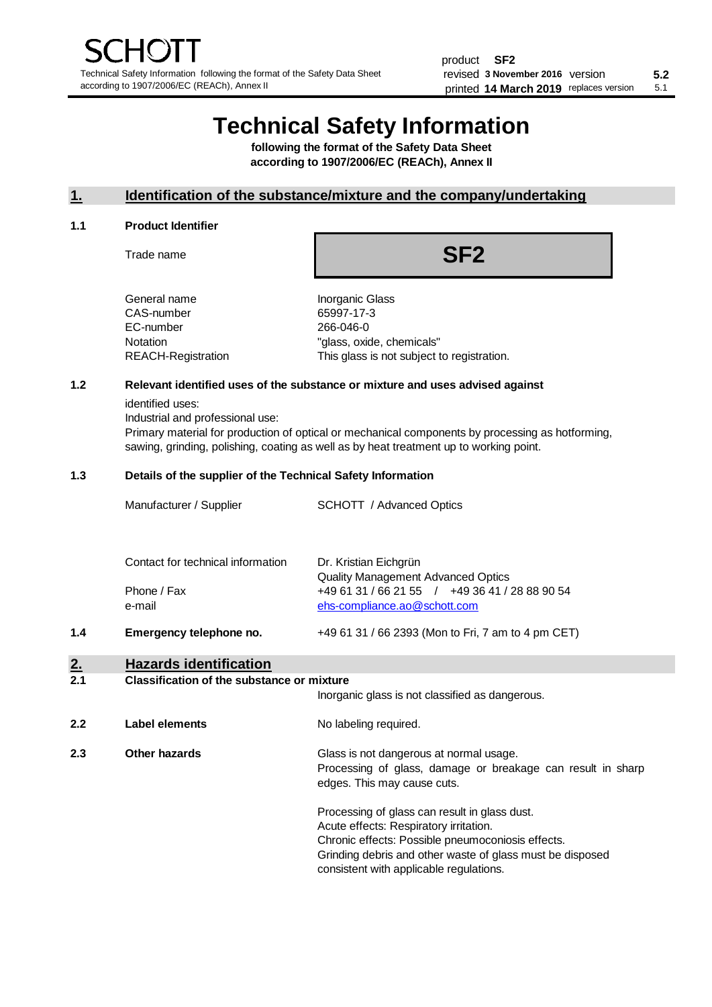# **Technical Safety Information**

**following the format of the Safety Data Sheet according to 1907/2006/EC (REACh), Annex II**

#### **1. Identification of the substance/mixture and the company/undertaking**

#### **1.1 Product Identifier**

Trade name

# **SF2**

| General name       |
|--------------------|
| CAS-number         |
| EC-number          |
| Notation           |
| REACH-Registration |
|                    |

Inorganic Glass 65997-17-3 266-046-0 "glass, oxide, chemicals" This glass is not subject to registration.

#### **1.2 Relevant identified uses of the substance or mixture and uses advised against**

identified uses:

Industrial and professional use:

Primary material for production of optical or mechanical components by processing as hotforming, sawing, grinding, polishing, coating as well as by heat treatment up to working point.

#### **1.3 Details of the supplier of the Technical Safety Information**

|     | Manufacturer / Supplier           | <b>SCHOTT</b> / Advanced Optics                                                |
|-----|-----------------------------------|--------------------------------------------------------------------------------|
|     | Contact for technical information | Dr. Kristian Eichgrün<br><b>Quality Management Advanced Optics</b>             |
|     | Phone / Fax<br>e-mail             | +49 61 31 / 66 21 55 / +49 36 41 / 28 88 90 54<br>ehs-compliance.ao@schott.com |
| 1.4 | Emergency telephone no.           | +49 61 31 / 66 2393 (Mon to Fri, 7 am to 4 pm CET)                             |
| 2.  | <b>Hazards identification</b>     |                                                                                |

#### **2.1 Classification of the substance or mixture**

|     |                | Inorganic glass is not classified as dangerous.                                                                                                                                                                                                      |
|-----|----------------|------------------------------------------------------------------------------------------------------------------------------------------------------------------------------------------------------------------------------------------------------|
| 2.2 | Label elements | No labeling required.                                                                                                                                                                                                                                |
| 2.3 | Other hazards  | Glass is not dangerous at normal usage.<br>Processing of glass, damage or breakage can result in sharp<br>edges. This may cause cuts.                                                                                                                |
|     |                | Processing of glass can result in glass dust.<br>Acute effects: Respiratory irritation.<br>Chronic effects: Possible pneumoconiosis effects.<br>Grinding debris and other waste of glass must be disposed<br>consistent with applicable regulations. |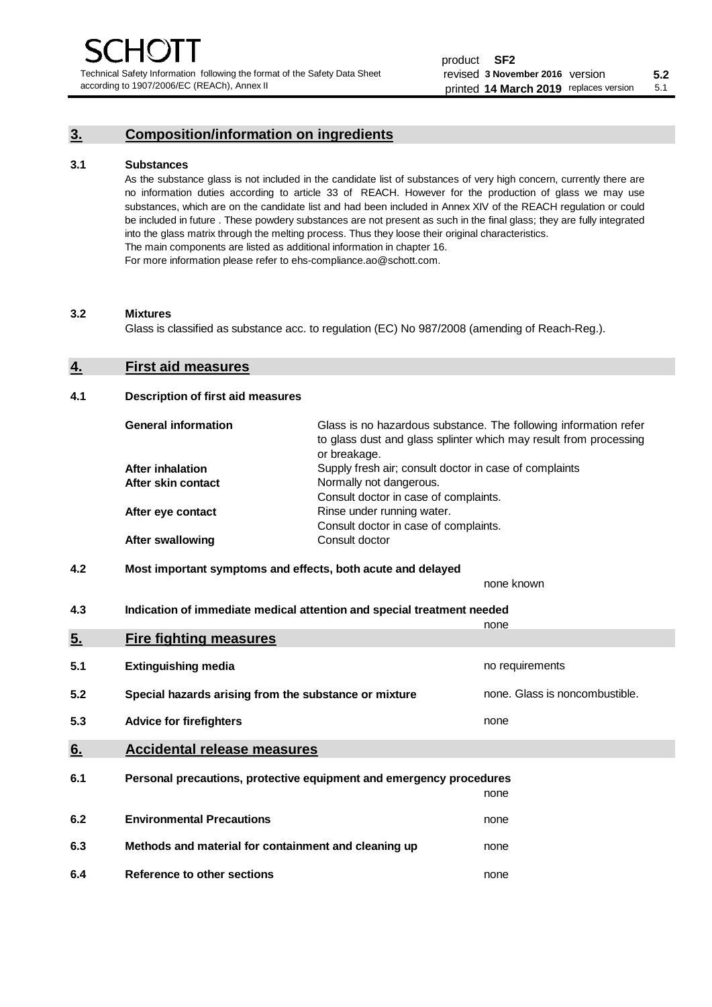Technical Safety Information following the format of the Safety Data Sheet according to 1907/2006/EC (REACh), Annex II

# **3. Composition/information on ingredients**

#### **3.1 Substances**

As the substance glass is not included in the candidate list of substances of very high concern, currently there are no information duties according to article 33 of REACH. However for the production of glass we may use substances, which are on the candidate list and had been included in Annex XIV of the REACH regulation or could be included in future . These powdery substances are not present as such in the final glass; they are fully integrated into the glass matrix through the melting process. Thus they loose their original characteristics. The main components are listed as additional information in chapter 16. For more information please refer to ehs-compliance.ao@schott.com.

#### **3.2 Mixtures**

Glass is classified as substance acc. to regulation (EC) No 987/2008 (amending of Reach-Reg.).

#### **4. First aid measures**

#### **4.1 Description of first aid measures**

| <b>General information</b> | Glass is no hazardous substance. The following information refer<br>to glass dust and glass splinter which may result from processing<br>or breakage. |
|----------------------------|-------------------------------------------------------------------------------------------------------------------------------------------------------|
| <b>After inhalation</b>    | Supply fresh air; consult doctor in case of complaints                                                                                                |
| After skin contact         | Normally not dangerous.                                                                                                                               |
|                            | Consult doctor in case of complaints.                                                                                                                 |
| After eye contact          | Rinse under running water.                                                                                                                            |
|                            | Consult doctor in case of complaints.                                                                                                                 |
| <b>After swallowing</b>    | Consult doctor                                                                                                                                        |

### **4.2 Most important symptoms and effects, both acute and delayed**

none known **4.3 Indication of immediate medical attention and special treatment needed** 

|     |                                                                     | none                           |
|-----|---------------------------------------------------------------------|--------------------------------|
| 5.  | <b>Fire fighting measures</b>                                       |                                |
| 5.1 | <b>Extinguishing media</b>                                          | no requirements                |
| 5.2 | Special hazards arising from the substance or mixture               | none. Glass is noncombustible. |
| 5.3 | <b>Advice for firefighters</b>                                      | none                           |
| 6.  | <b>Accidental release measures</b>                                  |                                |
| 6.1 | Personal precautions, protective equipment and emergency procedures |                                |
|     |                                                                     | none                           |
| 6.2 | <b>Environmental Precautions</b>                                    | none                           |
| 6.3 | Methods and material for containment and cleaning up                | none                           |
| 6.4 | Reference to other sections                                         | none                           |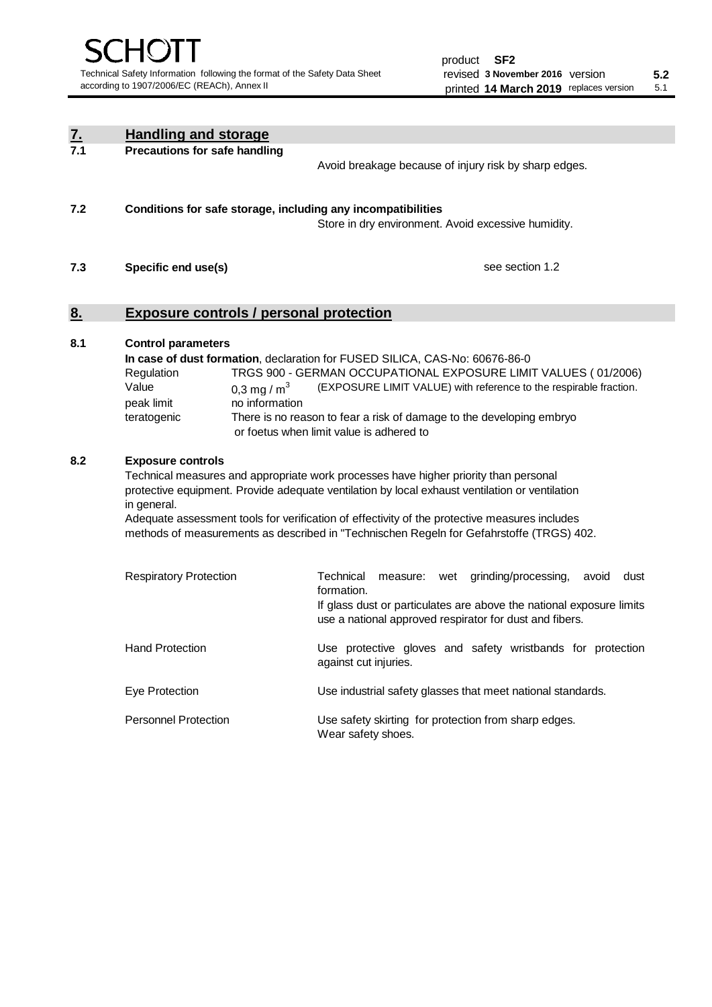| <u>7.</u>                                                                                                                                                                                                                                                                                                                                                                                                                             | <b>Handling and storage</b>                                                                                      |                                                                                                                                                                                                                                                                                                                                        |  |  |  |  |
|---------------------------------------------------------------------------------------------------------------------------------------------------------------------------------------------------------------------------------------------------------------------------------------------------------------------------------------------------------------------------------------------------------------------------------------|------------------------------------------------------------------------------------------------------------------|----------------------------------------------------------------------------------------------------------------------------------------------------------------------------------------------------------------------------------------------------------------------------------------------------------------------------------------|--|--|--|--|
| 7.1                                                                                                                                                                                                                                                                                                                                                                                                                                   | <b>Precautions for safe handling</b>                                                                             | Avoid breakage because of injury risk by sharp edges.                                                                                                                                                                                                                                                                                  |  |  |  |  |
| 7.2                                                                                                                                                                                                                                                                                                                                                                                                                                   | Conditions for safe storage, including any incompatibilities                                                     | Store in dry environment. Avoid excessive humidity.                                                                                                                                                                                                                                                                                    |  |  |  |  |
| 7.3                                                                                                                                                                                                                                                                                                                                                                                                                                   | Specific end use(s)                                                                                              | see section 1.2                                                                                                                                                                                                                                                                                                                        |  |  |  |  |
| 8.                                                                                                                                                                                                                                                                                                                                                                                                                                    | <b>Exposure controls / personal protection</b>                                                                   |                                                                                                                                                                                                                                                                                                                                        |  |  |  |  |
| 8.1                                                                                                                                                                                                                                                                                                                                                                                                                                   | <b>Control parameters</b><br>Regulation<br>Value<br>0,3 mg / $m3$<br>peak limit<br>no information<br>teratogenic | In case of dust formation, declaration for FUSED SILICA, CAS-No: 60676-86-0<br>TRGS 900 - GERMAN OCCUPATIONAL EXPOSURE LIMIT VALUES (01/2006)<br>(EXPOSURE LIMIT VALUE) with reference to the respirable fraction.<br>There is no reason to fear a risk of damage to the developing embryo<br>or foetus when limit value is adhered to |  |  |  |  |
| 8.2<br><b>Exposure controls</b><br>Technical measures and appropriate work processes have higher priority than personal<br>protective equipment. Provide adequate ventilation by local exhaust ventilation or ventilation<br>in general.<br>Adequate assessment tools for verification of effectivity of the protective measures includes<br>methods of measurements as described in "Technischen Regeln for Gefahrstoffe (TRGS) 402. |                                                                                                                  |                                                                                                                                                                                                                                                                                                                                        |  |  |  |  |
|                                                                                                                                                                                                                                                                                                                                                                                                                                       | <b>Respiratory Protection</b>                                                                                    | Technical<br>grinding/processing,<br>dust<br>measure: wet<br>avoid<br>formation.<br>If glass dust or particulates are above the national exposure limits<br>use a national approved respirator for dust and fibers.                                                                                                                    |  |  |  |  |
|                                                                                                                                                                                                                                                                                                                                                                                                                                       | <b>Hand Protection</b>                                                                                           | Use protective gloves and safety wristbands for protection<br>against cut injuries.                                                                                                                                                                                                                                                    |  |  |  |  |
|                                                                                                                                                                                                                                                                                                                                                                                                                                       | Eye Protection                                                                                                   | Use industrial safety glasses that meet national standards.                                                                                                                                                                                                                                                                            |  |  |  |  |
|                                                                                                                                                                                                                                                                                                                                                                                                                                       | <b>Personnel Protection</b>                                                                                      | Use safety skirting for protection from sharp edges.<br>Wear safety shoes.                                                                                                                                                                                                                                                             |  |  |  |  |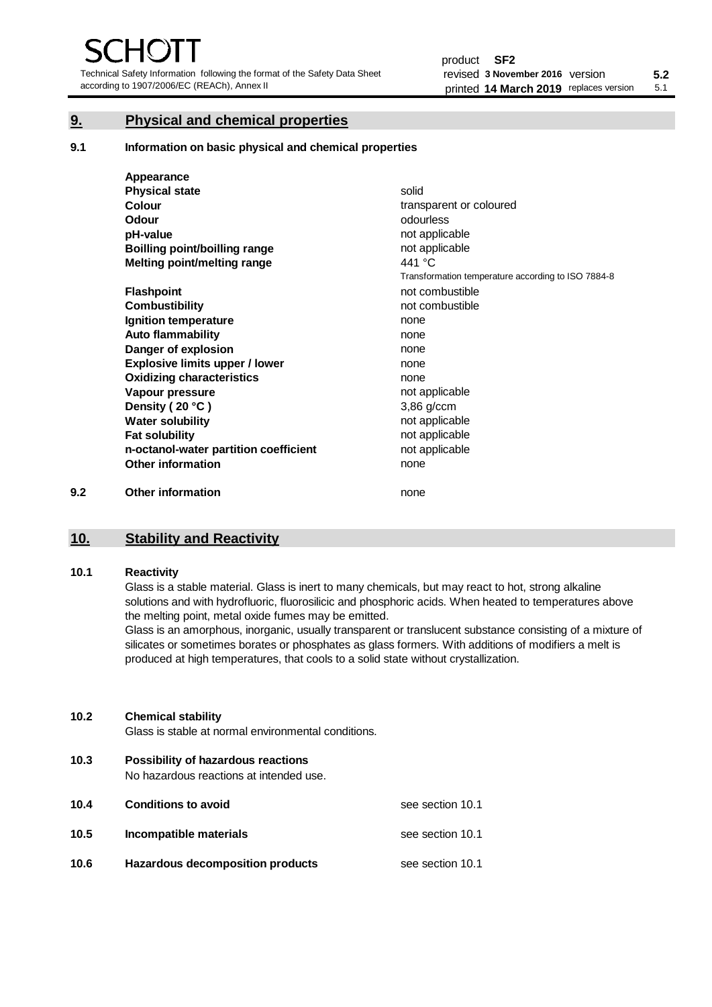Technical Safety Information following the format of the Safety Data Sheet according to 1907/2006/EC (REACh), Annex II

# **9. Physical and chemical properties**

**9.1 Information on basic physical and chemical properties**

|     | Appearance                            |                                                    |
|-----|---------------------------------------|----------------------------------------------------|
|     | <b>Physical state</b>                 | solid                                              |
|     | Colour                                | transparent or coloured                            |
|     | <b>Odour</b>                          | odourless                                          |
|     | pH-value                              | not applicable                                     |
|     | <b>Boilling point/boilling range</b>  | not applicable                                     |
|     | Melting point/melting range           | 441 °C                                             |
|     |                                       | Transformation temperature according to ISO 7884-8 |
|     | <b>Flashpoint</b>                     | not combustible                                    |
|     | <b>Combustibility</b>                 | not combustible                                    |
|     | Ignition temperature                  | none                                               |
|     | <b>Auto flammability</b>              | none                                               |
|     | Danger of explosion                   | none                                               |
|     | <b>Explosive limits upper / lower</b> | none                                               |
|     | <b>Oxidizing characteristics</b>      | none                                               |
|     | Vapour pressure                       | not applicable                                     |
|     | Density (20 °C)                       | $3,86$ g/ccm                                       |
|     | <b>Water solubility</b>               | not applicable                                     |
|     | <b>Fat solubility</b>                 | not applicable                                     |
|     | n-octanol-water partition coefficient | not applicable                                     |
|     | <b>Other information</b>              | none                                               |
| 9.2 | <b>Other information</b>              | none                                               |

# **10. Stability and Reactivity**

#### **10.1 Reactivity**

Glass is a stable material. Glass is inert to many chemicals, but may react to hot, strong alkaline solutions and with hydrofluoric, fluorosilicic and phosphoric acids. When heated to temperatures above the melting point, metal oxide fumes may be emitted.

Glass is an amorphous, inorganic, usually transparent or translucent substance consisting of a mixture of silicates or sometimes borates or phosphates as glass formers. With additions of modifiers a melt is produced at high temperatures, that cools to a solid state without crystallization.

#### **10.2 Chemical stability**

Glass is stable at normal environmental conditions.

**10.3 Possibility of hazardous reactions** 

No hazardous reactions at intended use.

| 10.4 | <b>Conditions to avoid</b>       | see section 10.1 |
|------|----------------------------------|------------------|
| 10.5 | Incompatible materials           | see section 10.1 |
| 10.6 | Hazardous decomposition products | see section 10.1 |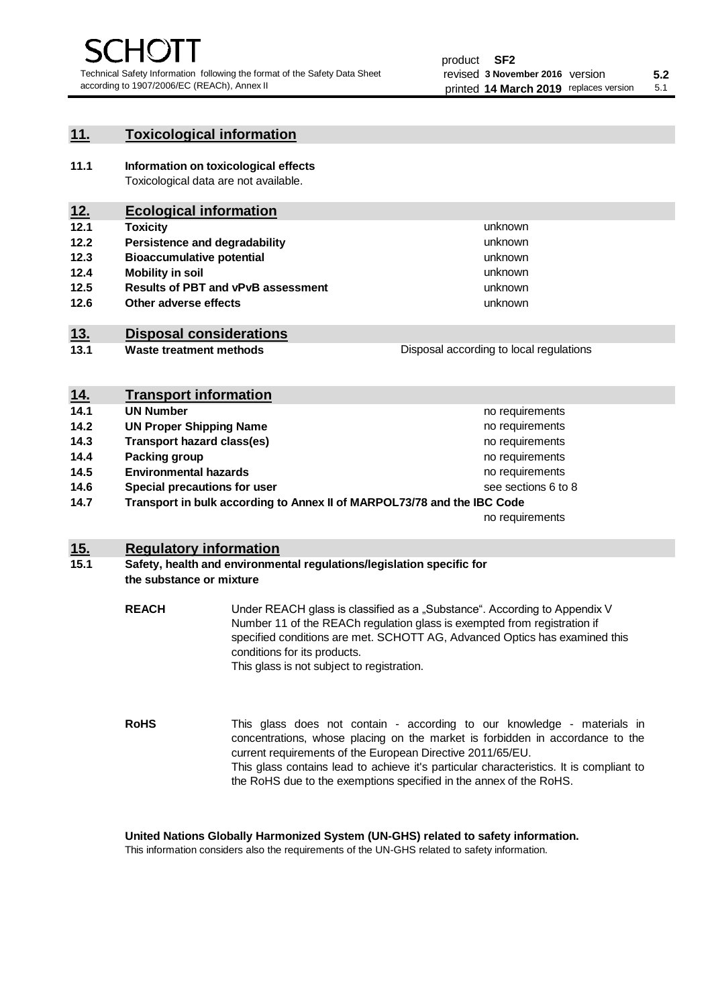unknown unknown unknown

unknown unknown unknown

Disposal according to local regulations

### **11. Toxicological information**

**11.1 Information on toxicological effects** Toxicological data are not available.

# **12. Ecological information**

- **12.1 Toxicity**
- **12.2 Persistence and degradability**
- **12.3 Bioaccumulative potential**
- **12.4 Mobility in soil**
- **12.5 Results of PBT and vPvB assessment**
- **12.6 Other adverse effects**

# **13. Disposal considerations**

**13.1 Waste treatment methods**

| <u>14.</u> | <b>Transport information</b>                                            |                     |
|------------|-------------------------------------------------------------------------|---------------------|
| 14.1       | <b>UN Number</b>                                                        | no requirements     |
| 14.2       | <b>UN Proper Shipping Name</b>                                          | no requirements     |
| 14.3       | <b>Transport hazard class(es)</b>                                       | no requirements     |
| 14.4       | Packing group                                                           | no requirements     |
| 14.5       | <b>Environmental hazards</b>                                            | no requirements     |
| 14.6       | Special precautions for user                                            | see sections 6 to 8 |
| 14.7       | Transport in bulk according to Annex II of MARPOL73/78 and the IBC Code |                     |
|            |                                                                         | no requirements     |

### **15. Regulatory information**

#### **15.1 Safety, health and environmental regulations/legislation specific for the substance or mixture**

**REACH** Under REACH glass is classified as a "Substance". According to Appendix V Number 11 of the REACh regulation glass is exempted from registration if specified conditions are met. SCHOTT AG, Advanced Optics has examined this conditions for its products. This glass is not subject to registration.

**RoHS** This glass does not contain - according to our knowledge - materials in concentrations, whose placing on the market is forbidden in accordance to the current requirements of the European Directive 2011/65/EU. This glass contains lead to achieve it's particular characteristics. It is compliant to the RoHS due to the exemptions specified in the annex of the RoHS.

**United Nations Globally Harmonized System (UN-GHS) related to safety information.**

This information considers also the requirements of the UN-GHS related to safety information.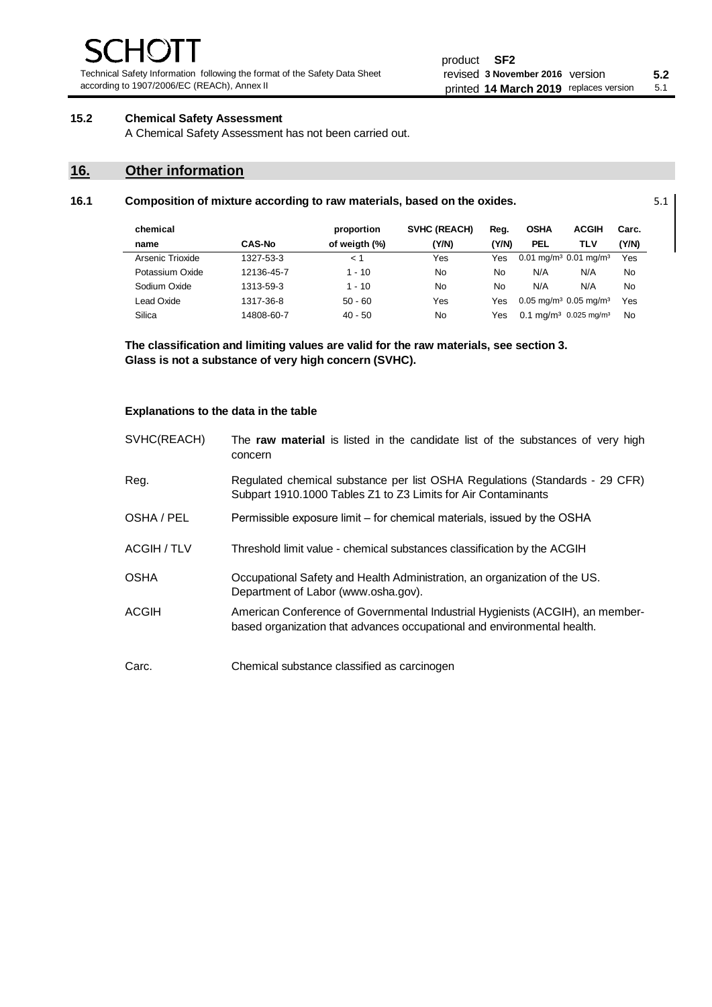Technical Safety Information following the format of the Safety Data Sheet according to 1907/2006/EC (REACh), Annex II

### **15.2 Chemical Safety Assessment**

A Chemical Safety Assessment has not been carried out.

## **16. Other information**

| chemical         |               | proportion    | <b>SVHC (REACH)</b> | Reg.  | <b>OSHA</b> | <b>ACGIH</b>                                    | Carc.     |
|------------------|---------------|---------------|---------------------|-------|-------------|-------------------------------------------------|-----------|
| name             | <b>CAS-No</b> | of weigth (%) | (Y/N)               | (Y/N) | <b>PEL</b>  | TLV                                             | (Y/N)     |
| Arsenic Trioxide | 1327-53-3     | < 1           | Yes                 | Yes   |             | $0.01$ mg/m <sup>3</sup> 0.01 mg/m <sup>3</sup> | Yes       |
| Potassium Oxide  | 12136-45-7    | $1 - 10$      | <b>No</b>           | No    | N/A         | N/A                                             | No        |
| Sodium Oxide     | 1313-59-3     | $1 - 10$      | No                  | No    | N/A         | N/A                                             | No        |
| Lead Oxide       | 1317-36-8     | $50 - 60$     | Yes                 | Yes   |             | $0.05$ mg/m <sup>3</sup> 0.05 mg/m <sup>3</sup> | Yes       |
| Silica           | 14808-60-7    | $40 - 50$     | No                  | Yes   |             | $0.1 \text{ ma/m}^3$ 0.025 mg/m <sup>3</sup>    | <b>No</b> |

**16.1 Composition of mixture according to raw materials, based on the oxides.** 5.1

**The classification and limiting values are valid for the raw materials, see section 3. Glass is not a substance of very high concern (SVHC).**

#### **Explanations to the data in the table**

| SVHC(REACH) | The raw material is listed in the candidate list of the substances of very high<br>concern                                                               |
|-------------|----------------------------------------------------------------------------------------------------------------------------------------------------------|
| Reg.        | Regulated chemical substance per list OSHA Regulations (Standards - 29 CFR)<br>Subpart 1910.1000 Tables Z1 to Z3 Limits for Air Contaminants             |
| OSHA / PEL  | Permissible exposure limit – for chemical materials, issued by the OSHA                                                                                  |
| ACGIH / TLV | Threshold limit value - chemical substances classification by the ACGIH                                                                                  |
| <b>OSHA</b> | Occupational Safety and Health Administration, an organization of the US.<br>Department of Labor (www.osha.gov).                                         |
| ACGIH       | American Conference of Governmental Industrial Hygienists (ACGIH), an member-<br>based organization that advances occupational and environmental health. |
| Carc.       | Chemical substance classified as carcinogen                                                                                                              |